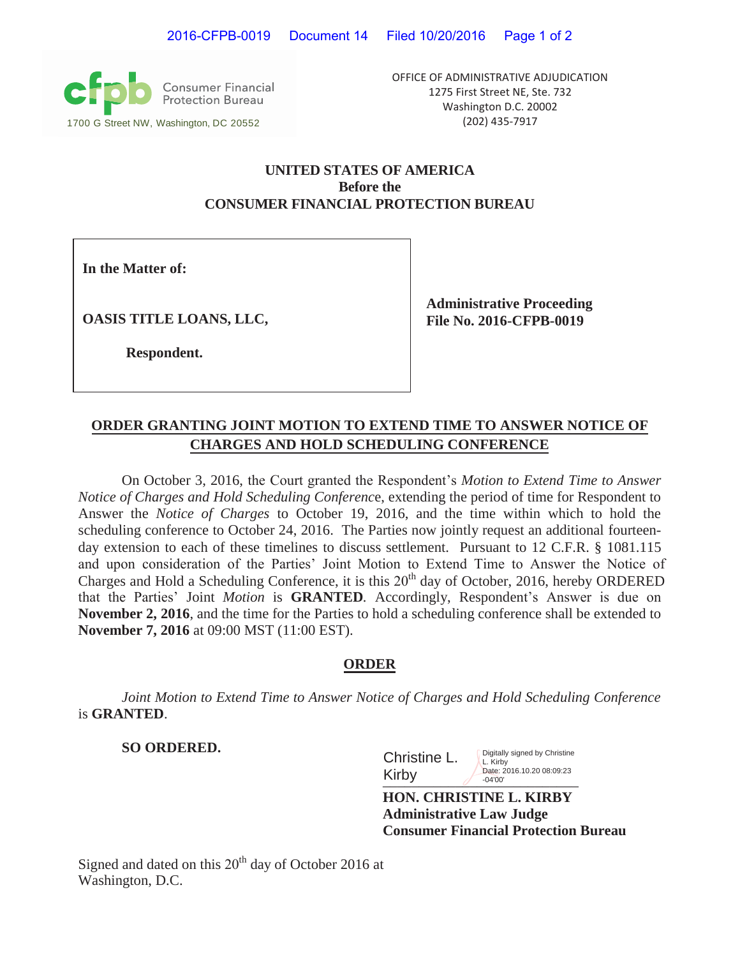**Consumer Financial**<br>Protection Bureau 1700 G Street NW, Washington, DC 20552 (202) 435-7917

OFFICE OF ADMINISTRATIVE ADJUDICATION 1275 First Street NE, Ste. 732 Washington D.C. 20002

### **UNITED STATES OF AMERICA Before the CONSUMER FINANCIAL PROTECTION BUREAU**

**In the Matter of:**

**OASIS TITLE LOANS, LLC,**

**Administrative Proceeding File No. 2016-CFPB-0019**

**Respondent.**

## **ORDER GRANTING JOINT MOTION TO EXTEND TIME TO ANSWER NOTICE OF CHARGES AND HOLD SCHEDULING CONFERENCE**

On October 3, 2016, the Court granted the Respondent's *Motion to Extend Time to Answer Notice of Charges and Hold Scheduling Conferenc*e, extending the period of time for Respondent to Answer the *Notice of Charges* to October 19, 2016, and the time within which to hold the scheduling conference to October 24, 2016. The Parties now jointly request an additional fourteenday extension to each of these timelines to discuss settlement. Pursuant to 12 C.F.R. § 1081.115 and upon consideration of the Parties' Joint Motion to Extend Time to Answer the Notice of Charges and Hold a Scheduling Conference, it is this 20<sup>th</sup> day of October, 2016, hereby ORDERED that the Parties' Joint *Motion* is **GRANTED***.* Accordingly, Respondent's Answer is due on **November 2, 2016**, and the time for the Parties to hold a scheduling conference shall be extended to **November 7, 2016** at 09:00 MST (11:00 EST).

### **ORDER**

*Joint Motion to Extend Time to Answer Notice of Charges and Hold Scheduling Conference* is **GRANTED**.

**SO ORDERED.**

| Christine L. | Digitally signed by Christine<br>L. Kirby |
|--------------|-------------------------------------------|
| Kirby        | Date: 2016.10.20 08:09:23<br>$-04'00'$    |

**HON. CHRISTINE L. KIRBY Administrative Law Judge Consumer Financial Protection Bureau** 

Signed and dated on this  $20<sup>th</sup>$  day of October 2016 at Washington, D.C.